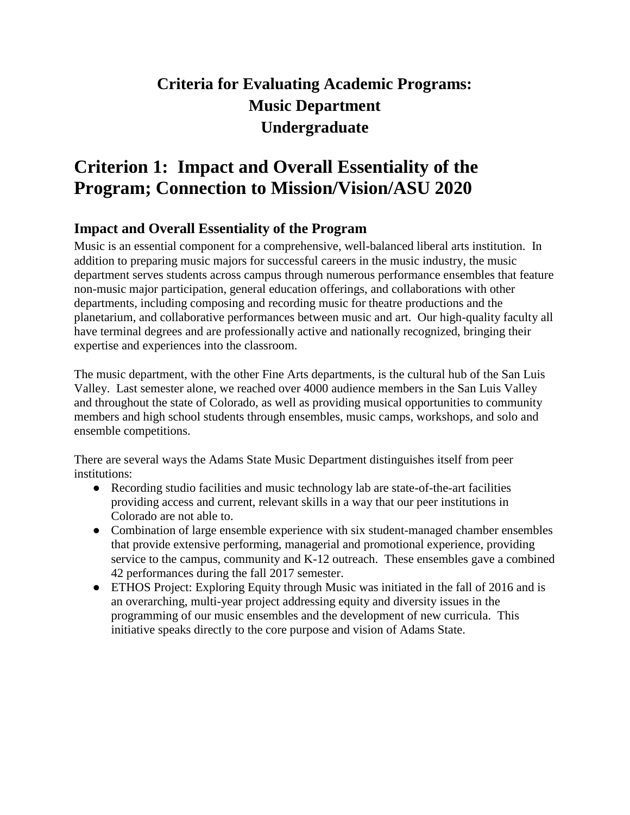# **Criteria for Evaluating Academic Programs: Music Department Undergraduate**

# **Criterion 1: Impact and Overall Essentiality of the Program; Connection to Mission/Vision/ASU 2020**

# **Impact and Overall Essentiality of the Program**

Music is an essential component for a comprehensive, well-balanced liberal arts institution. In addition to preparing music majors for successful careers in the music industry, the music department serves students across campus through numerous performance ensembles that feature non-music major participation, general education offerings, and collaborations with other departments, including composing and recording music for theatre productions and the planetarium, and collaborative performances between music and art. Our high-quality faculty all have terminal degrees and are professionally active and nationally recognized, bringing their expertise and experiences into the classroom.

The music department, with the other Fine Arts departments, is the cultural hub of the San Luis Valley. Last semester alone, we reached over 4000 audience members in the San Luis Valley and throughout the state of Colorado, as well as providing musical opportunities to community members and high school students through ensembles, music camps, workshops, and solo and ensemble competitions.

There are several ways the Adams State Music Department distinguishes itself from peer institutions:

- Recording studio facilities and music technology lab are state-of-the-art facilities providing access and current, relevant skills in a way that our peer institutions in Colorado are not able to.
- Combination of large ensemble experience with six student-managed chamber ensembles that provide extensive performing, managerial and promotional experience, providing service to the campus, community and K-12 outreach. These ensembles gave a combined 42 performances during the fall 2017 semester.
- ETHOS Project: Exploring Equity through Music was initiated in the fall of 2016 and is an overarching, multi-year project addressing equity and diversity issues in the programming of our music ensembles and the development of new curricula. This initiative speaks directly to the core purpose and vision of Adams State.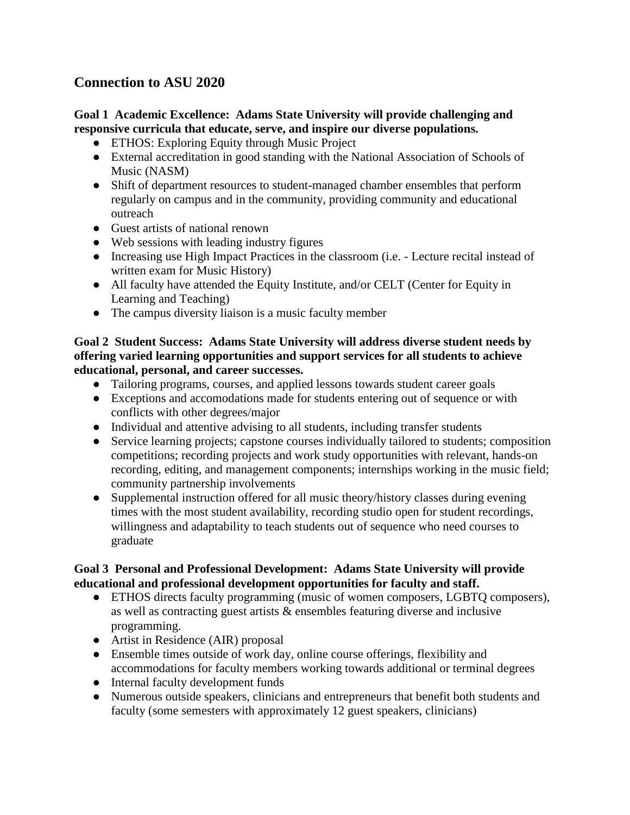## **Connection to ASU 2020**

#### **Goal 1 Academic Excellence: Adams State University will provide challenging and responsive curricula that educate, serve, and inspire our diverse populations.**

- ETHOS: Exploring Equity through Music Project
- External accreditation in good standing with the National Association of Schools of Music (NASM)
- Shift of department resources to student-managed chamber ensembles that perform regularly on campus and in the community, providing community and educational outreach
- Guest artists of national renown
- Web sessions with leading industry figures
- Increasing use High Impact Practices in the classroom (i.e. Lecture recital instead of written exam for Music History)
- All faculty have attended the Equity Institute, and/or CELT (Center for Equity in Learning and Teaching)
- The campus diversity liaison is a music faculty member

#### **Goal 2 Student Success: Adams State University will address diverse student needs by offering varied learning opportunities and support services for all students to achieve educational, personal, and career successes.**

- Tailoring programs, courses, and applied lessons towards student career goals
- Exceptions and accomodations made for students entering out of sequence or with conflicts with other degrees/major
- Individual and attentive advising to all students, including transfer students
- Service learning projects; capstone courses individually tailored to students; composition competitions; recording projects and work study opportunities with relevant, hands-on recording, editing, and management components; internships working in the music field; community partnership involvements
- Supplemental instruction offered for all music theory/history classes during evening times with the most student availability, recording studio open for student recordings, willingness and adaptability to teach students out of sequence who need courses to graduate

#### **Goal 3 Personal and Professional Development: Adams State University will provide educational and professional development opportunities for faculty and staff.**

- ETHOS directs faculty programming (music of women composers, LGBTQ composers), as well as contracting guest artists & ensembles featuring diverse and inclusive programming.
- Artist in Residence (AIR) proposal
- Ensemble times outside of work day, online course offerings, flexibility and accommodations for faculty members working towards additional or terminal degrees
- Internal faculty development funds
- Numerous outside speakers, clinicians and entrepreneurs that benefit both students and faculty (some semesters with approximately 12 guest speakers, clinicians)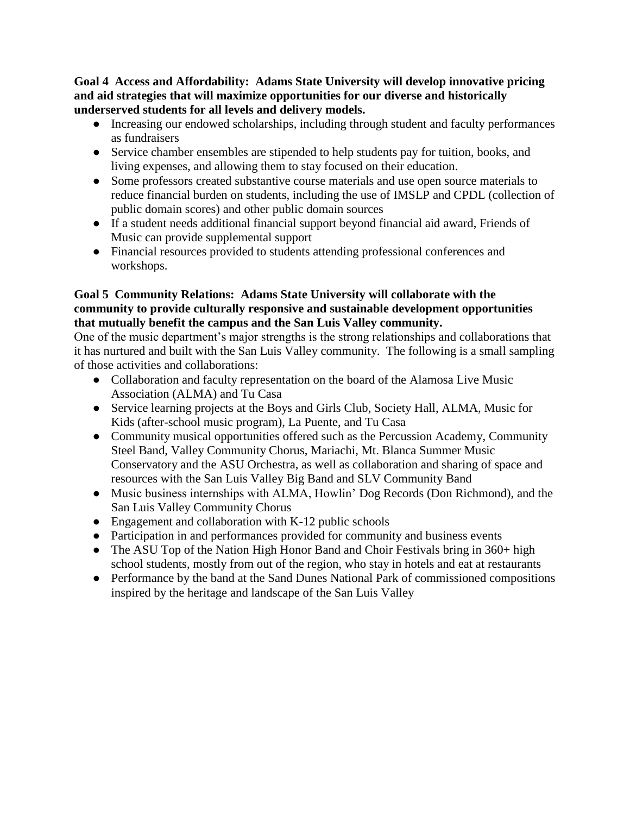**Goal 4 Access and Affordability: Adams State University will develop innovative pricing and aid strategies that will maximize opportunities for our diverse and historically underserved students for all levels and delivery models.**

- Increasing our endowed scholarships, including through student and faculty performances as fundraisers
- Service chamber ensembles are stipended to help students pay for tuition, books, and living expenses, and allowing them to stay focused on their education.
- Some professors created substantive course materials and use open source materials to reduce financial burden on students, including the use of IMSLP and CPDL (collection of public domain scores) and other public domain sources
- If a student needs additional financial support beyond financial aid award, Friends of Music can provide supplemental support
- Financial resources provided to students attending professional conferences and workshops.

#### **Goal 5 Community Relations: Adams State University will collaborate with the community to provide culturally responsive and sustainable development opportunities that mutually benefit the campus and the San Luis Valley community.**

One of the music department's major strengths is the strong relationships and collaborations that it has nurtured and built with the San Luis Valley community. The following is a small sampling of those activities and collaborations:

- Collaboration and faculty representation on the board of the Alamosa Live Music Association (ALMA) and Tu Casa
- Service learning projects at the Boys and Girls Club, Society Hall, ALMA, Music for Kids (after-school music program), La Puente, and Tu Casa
- Community musical opportunities offered such as the Percussion Academy, Community Steel Band, Valley Community Chorus, Mariachi, Mt. Blanca Summer Music Conservatory and the ASU Orchestra, as well as collaboration and sharing of space and resources with the San Luis Valley Big Band and SLV Community Band
- Music business internships with ALMA, Howlin' Dog Records (Don Richmond), and the San Luis Valley Community Chorus
- Engagement and collaboration with K-12 public schools
- Participation in and performances provided for community and business events
- The ASU Top of the Nation High Honor Band and Choir Festivals bring in 360+ high school students, mostly from out of the region, who stay in hotels and eat at restaurants
- Performance by the band at the Sand Dunes National Park of commissioned compositions inspired by the heritage and landscape of the San Luis Valley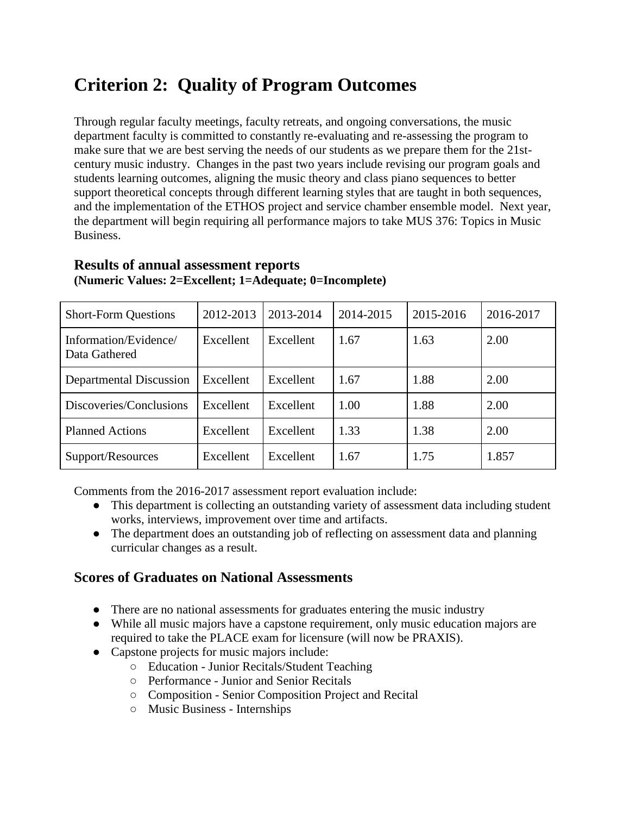# **Criterion 2: Quality of Program Outcomes**

Through regular faculty meetings, faculty retreats, and ongoing conversations, the music department faculty is committed to constantly re-evaluating and re-assessing the program to make sure that we are best serving the needs of our students as we prepare them for the 21stcentury music industry. Changes in the past two years include revising our program goals and students learning outcomes, aligning the music theory and class piano sequences to better support theoretical concepts through different learning styles that are taught in both sequences, and the implementation of the ETHOS project and service chamber ensemble model. Next year, the department will begin requiring all performance majors to take MUS 376: Topics in Music Business.

| <b>Short-Form Questions</b>            | 2012-2013 | 2013-2014 | 2014-2015 | 2015-2016 | 2016-2017 |
|----------------------------------------|-----------|-----------|-----------|-----------|-----------|
| Information/Evidence/<br>Data Gathered | Excellent | Excellent | 1.67      | 1.63      | 2.00      |
| Departmental Discussion                | Excellent | Excellent | 1.67      | 1.88      | 2.00      |
| Discoveries/Conclusions                | Excellent | Excellent | 1.00      | 1.88      | 2.00      |
| <b>Planned Actions</b>                 | Excellent | Excellent | 1.33      | 1.38      | 2.00      |
| Support/Resources                      | Excellent | Excellent | 1.67      | 1.75      | 1.857     |

#### **Results of annual assessment reports (Numeric Values: 2=Excellent; 1=Adequate; 0=Incomplete)**

Comments from the 2016-2017 assessment report evaluation include:

- This department is collecting an outstanding variety of assessment data including student works, interviews, improvement over time and artifacts.
- The department does an outstanding job of reflecting on assessment data and planning curricular changes as a result.

### **Scores of Graduates on National Assessments**

- **●** There are no national assessments for graduates entering the music industry
- **●** While all music majors have a capstone requirement, only music education majors are required to take the PLACE exam for licensure (will now be PRAXIS).
- **●** Capstone projects for music majors include:
	- Education Junior Recitals/Student Teaching
	- Performance Junior and Senior Recitals
	- Composition Senior Composition Project and Recital
	- Music Business Internships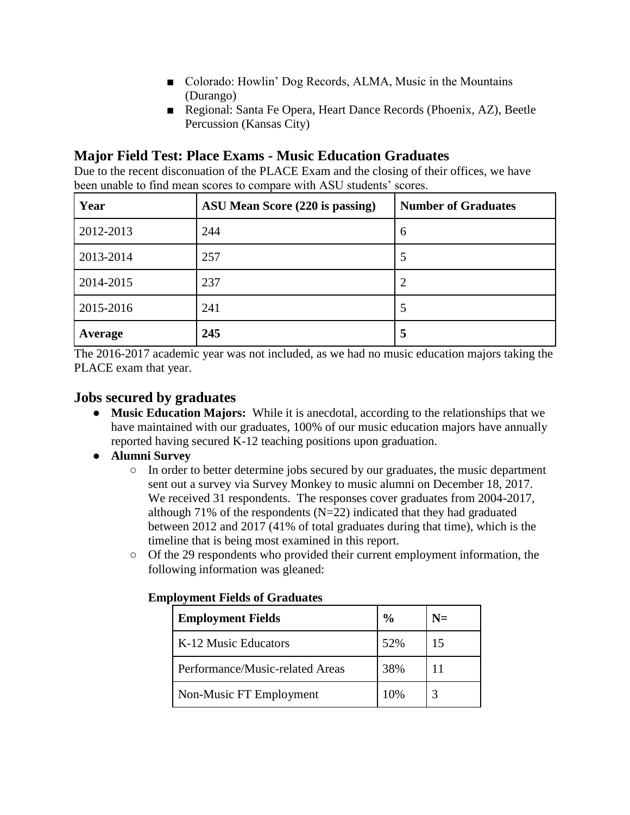- Colorado: Howlin' Dog Records, ALMA, Music in the Mountains (Durango)
- Regional: Santa Fe Opera, Heart Dance Records (Phoenix, AZ), Beetle Percussion (Kansas City)

## **Major Field Test: Place Exams - Music Education Graduates**

Due to the recent disconuation of the PLACE Exam and the closing of their offices, we have been unable to find mean scores to compare with ASU students' scores.

| Year      | ASU Mean Score (220 is passing) | <b>Number of Graduates</b> |
|-----------|---------------------------------|----------------------------|
| 2012-2013 | 244                             | 6                          |
| 2013-2014 | 257                             | 5                          |
| 2014-2015 | 237                             | 2                          |
| 2015-2016 | 241                             | 5                          |
| Average   | 245                             | 5                          |

The 2016-2017 academic year was not included, as we had no music education majors taking the PLACE exam that year.

# **Jobs secured by graduates**

- **Music Education Majors:** While it is anecdotal, according to the relationships that we have maintained with our graduates, 100% of our music education majors have annually reported having secured K-12 teaching positions upon graduation.
- **Alumni Survey**
	- In order to better determine jobs secured by our graduates, the music department sent out a survey via Survey Monkey to music alumni on December 18, 2017. We received 31 respondents. The responses cover graduates from 2004-2017, although 71% of the respondents  $(N=22)$  indicated that they had graduated between 2012 and 2017 (41% of total graduates during that time), which is the timeline that is being most examined in this report.
	- Of the 29 respondents who provided their current employment information, the following information was gleaned:

| <b>Employment Fields</b>        | $\frac{6}{9}$ | N= |
|---------------------------------|---------------|----|
| K-12 Music Educators            | 52%           | 15 |
| Performance/Music-related Areas | 38%           |    |
| Non-Music FT Employment         | 10%           |    |

#### **Employment Fields of Graduates**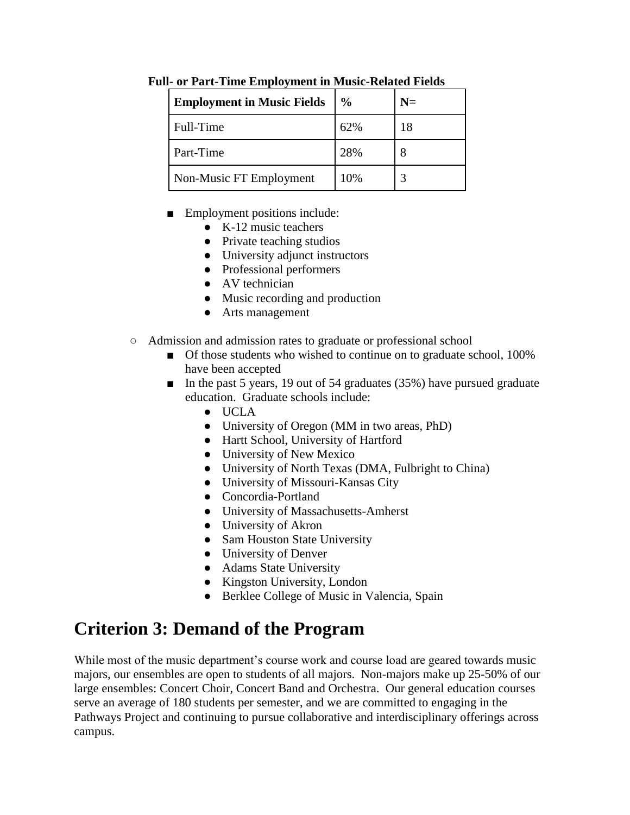| <b>Employment in Music Fields</b> | $\frac{0}{0}$ | $N=$ |
|-----------------------------------|---------------|------|
| Full-Time                         | 62%           | 18   |
| Part-Time                         | 28%           |      |
| Non-Music FT Employment           | 10%           |      |

**Full- or Part-Time Employment in Music-Related Fields**

- Employment positions include:
	- $\bullet$  K-12 music teachers
	- Private teaching studios
	- University adjunct instructors
	- Professional performers
	- AV technician
	- Music recording and production
	- Arts management
- Admission and admission rates to graduate or professional school
	- Of those students who wished to continue on to graduate school, 100% have been accepted
	- In the past 5 years, 19 out of 54 graduates (35%) have pursued graduate education. Graduate schools include:
		- UCLA
		- University of Oregon (MM in two areas, PhD)
		- Hartt School, University of Hartford
		- University of New Mexico
		- University of North Texas (DMA, Fulbright to China)
		- University of Missouri-Kansas City
		- Concordia-Portland
		- University of Massachusetts-Amherst
		- University of Akron
		- Sam Houston State University
		- University of Denver
		- Adams State University
		- Kingston University, London
		- Berklee College of Music in Valencia, Spain

# **Criterion 3: Demand of the Program**

While most of the music department's course work and course load are geared towards music majors, our ensembles are open to students of all majors. Non-majors make up 25-50% of our large ensembles: Concert Choir, Concert Band and Orchestra. Our general education courses serve an average of 180 students per semester, and we are committed to engaging in the Pathways Project and continuing to pursue collaborative and interdisciplinary offerings across campus.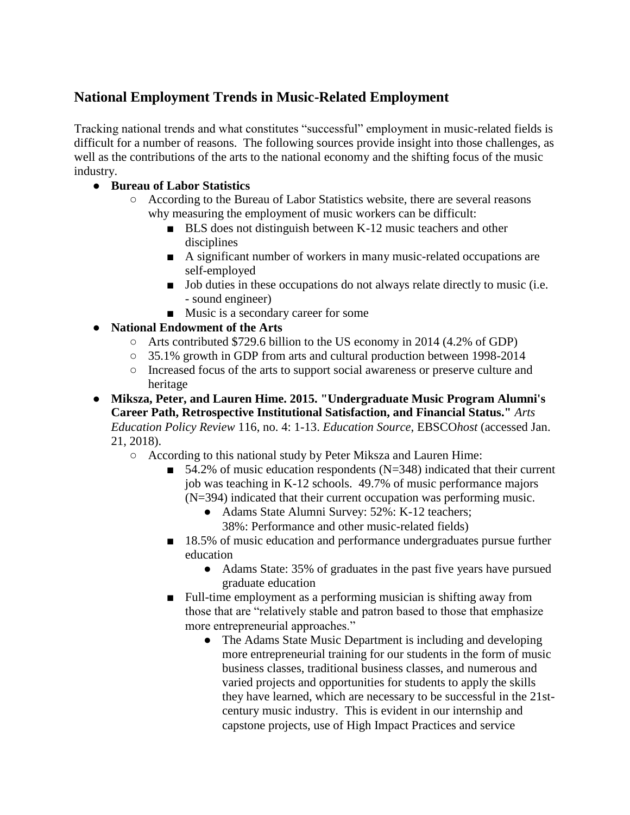# **National Employment Trends in Music-Related Employment**

Tracking national trends and what constitutes "successful" employment in music-related fields is difficult for a number of reasons. The following sources provide insight into those challenges, as well as the contributions of the arts to the national economy and the shifting focus of the music industry.

### ● **Bureau of Labor Statistics**

- According to the Bureau of Labor Statistics website, there are several reasons why measuring the employment of music workers can be difficult:
	- BLS does not distinguish between K-12 music teachers and other disciplines
	- A significant number of workers in many music-related occupations are self-employed
	- Job duties in these occupations do not always relate directly to music (i.e. - sound engineer)
	- Music is a secondary career for some
- **National Endowment of the Arts**
	- Arts contributed \$729.6 billion to the US economy in 2014 (4.2% of GDP)
	- 35.1% growth in GDP from arts and cultural production between 1998-2014
	- Increased focus of the arts to support social awareness or preserve culture and heritage
- **Miksza, Peter, and Lauren Hime. 2015. "Undergraduate Music Program Alumni's Career Path, Retrospective Institutional Satisfaction, and Financial Status."** *Arts Education Policy Review* 116, no. 4: 1-13. *Education Source*, EBSCO*host* (accessed Jan. 21, 2018).
	- According to this national study by Peter Miksza and Lauren Hime:
		- $\blacksquare$  54.2% of music education respondents (N=348) indicated that their current job was teaching in K-12 schools. 49.7% of music performance majors (N=394) indicated that their current occupation was performing music.
			- Adams State Alumni Survey: 52%: K-12 teachers; 38%: Performance and other music-related fields)
		- 18.5% of music education and performance undergraduates pursue further education
			- Adams State: 35% of graduates in the past five years have pursued graduate education
		- Full-time employment as a performing musician is shifting away from those that are "relatively stable and patron based to those that emphasize more entrepreneurial approaches."
			- The Adams State Music Department is including and developing more entrepreneurial training for our students in the form of music business classes, traditional business classes, and numerous and varied projects and opportunities for students to apply the skills they have learned, which are necessary to be successful in the 21stcentury music industry. This is evident in our internship and capstone projects, use of High Impact Practices and service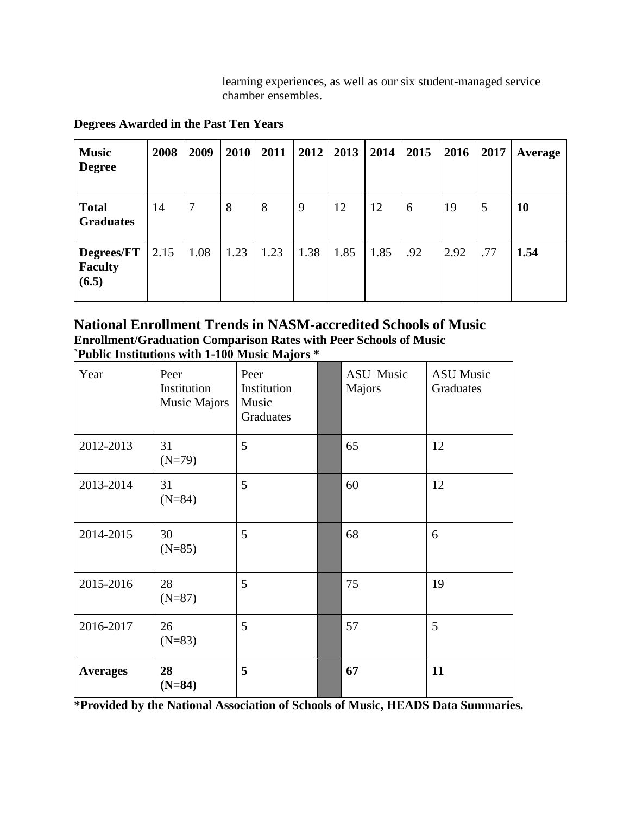learning experiences, as well as our six student-managed service chamber ensembles.

| <b>Music</b><br><b>Degree</b>         | 2008 | 2009 | 2010 | 2011 | 2012 | 2013 | 2014 | 2015 | 2016 | 2017 | Average |
|---------------------------------------|------|------|------|------|------|------|------|------|------|------|---------|
| <b>Total</b><br><b>Graduates</b>      | 14   | 7    | 8    | 8    | 9    | 12   | 12   | 6    | 19   | 5    | 10      |
| Degrees/FT<br><b>Faculty</b><br>(6.5) | 2.15 | 1.08 | 1.23 | 1.23 | 1.38 | 1.85 | 1.85 | .92  | 2.92 | .77  | 1.54    |

**Degrees Awarded in the Past Ten Years**

**National Enrollment Trends in NASM-accredited Schools of Music Enrollment/Graduation Comparison Rates with Peer Schools of Music `Public Institutions with 1-100 Music Majors \***

| Year            | Peer<br>Institution<br>Music Majors | Peer<br>Institution<br>Music<br>Graduates | ASU Music<br>Majors | <b>ASU Music</b><br>Graduates |
|-----------------|-------------------------------------|-------------------------------------------|---------------------|-------------------------------|
| 2012-2013       | 31<br>$(N=79)$                      | 5                                         | 65                  | 12                            |
| 2013-2014       | 31<br>$(N=84)$                      | 5                                         | 60                  | 12                            |
| 2014-2015       | 30<br>$(N=85)$                      | 5                                         | 68                  | 6                             |
| 2015-2016       | 28<br>$(N=87)$                      | 5                                         | 75                  | 19                            |
| 2016-2017       | 26<br>$(N=83)$                      | 5                                         | 57                  | 5                             |
| <b>Averages</b> | 28<br>$(N=84)$                      | 5                                         | 67                  | 11                            |

**\*Provided by the National Association of Schools of Music, HEADS Data Summaries.**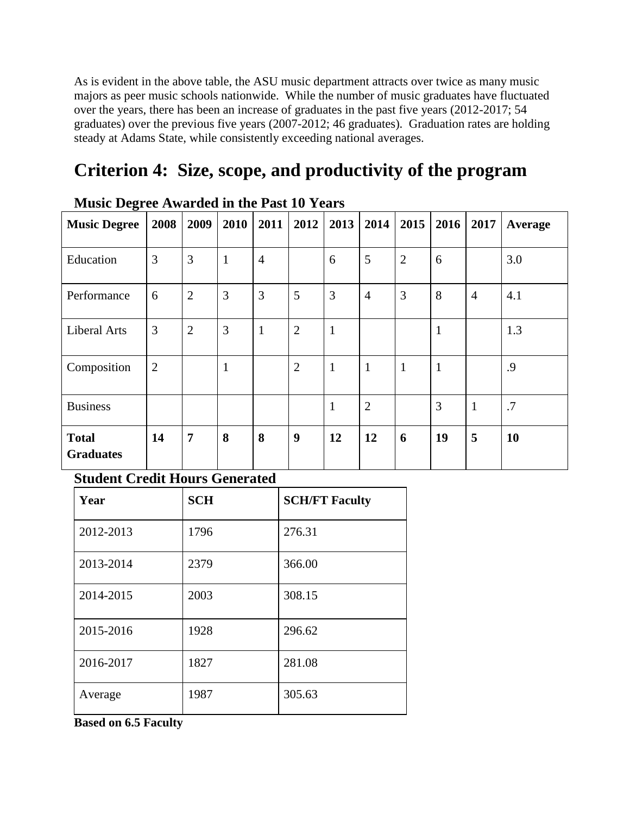As is evident in the above table, the ASU music department attracts over twice as many music majors as peer music schools nationwide. While the number of music graduates have fluctuated over the years, there has been an increase of graduates in the past five years (2012-2017; 54 graduates) over the previous five years (2007-2012; 46 graduates). Graduation rates are holding steady at Adams State, while consistently exceeding national averages.

# **Criterion 4: Size, scope, and productivity of the program**

| Priusic Degree Awarded in the Fast To Tears |                |                |              |                |                |              |                |                |              |                |                |
|---------------------------------------------|----------------|----------------|--------------|----------------|----------------|--------------|----------------|----------------|--------------|----------------|----------------|
| <b>Music Degree</b>                         | 2008           | 2009           | 2010         | 2011           | 2012           | 2013         | 2014           | 2015           | 2016         | 2017           | <b>Average</b> |
| Education                                   | 3              | 3              | $\mathbf{1}$ | $\overline{4}$ |                | 6            | 5              | $\overline{2}$ | 6            |                | 3.0            |
| Performance                                 | 6              | $\overline{2}$ | 3            | 3              | 5              | 3            | $\overline{4}$ | 3              | 8            | $\overline{4}$ | 4.1            |
| Liberal Arts                                | 3              | $\overline{2}$ | 3            | $\mathbf{1}$   | $\overline{2}$ | $\mathbf{1}$ |                |                | $\mathbf{1}$ |                | 1.3            |
| Composition                                 | $\overline{2}$ |                | $\mathbf{1}$ |                | $\overline{2}$ | $\mathbf{1}$ | $\mathbf{1}$   | $\mathbf{1}$   | $\mathbf{1}$ |                | .9             |
| <b>Business</b>                             |                |                |              |                |                | $\mathbf{1}$ | $\overline{2}$ |                | 3            | $\mathbf{1}$   | .7             |
| <b>Total</b><br><b>Graduates</b>            | 14             | $\overline{7}$ | 8            | 8              | 9              | 12           | 12             | 6              | 19           | 5              | <b>10</b>      |

# **Music Degree Awarded in the Past 10 Years**

### **Student Credit Hours Generated**

| Year      | <b>SCH</b> | <b>SCH/FT Faculty</b> |
|-----------|------------|-----------------------|
| 2012-2013 | 1796       | 276.31                |
| 2013-2014 | 2379       | 366.00                |
| 2014-2015 | 2003       | 308.15                |
| 2015-2016 | 1928       | 296.62                |
| 2016-2017 | 1827       | 281.08                |
| Average   | 1987       | 305.63                |

**Based on 6.5 Faculty**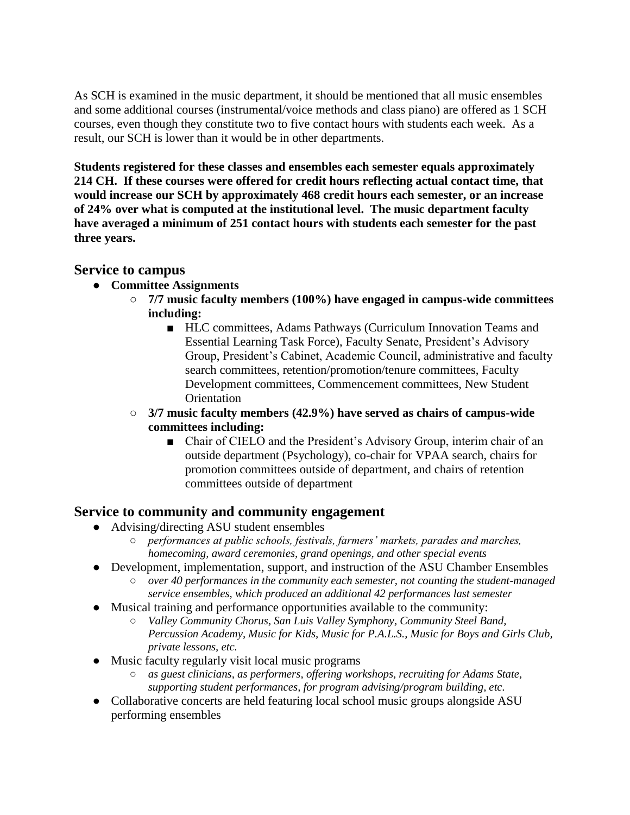As SCH is examined in the music department, it should be mentioned that all music ensembles and some additional courses (instrumental/voice methods and class piano) are offered as 1 SCH courses, even though they constitute two to five contact hours with students each week. As a result, our SCH is lower than it would be in other departments.

**Students registered for these classes and ensembles each semester equals approximately 214 CH. If these courses were offered for credit hours reflecting actual contact time, that would increase our SCH by approximately 468 credit hours each semester, or an increase of 24% over what is computed at the institutional level. The music department faculty have averaged a minimum of 251 contact hours with students each semester for the past three years.** 

### **Service to campus**

- **Committee Assignments**
	- **7/7 music faculty members (100%) have engaged in campus-wide committees including:**
		- HLC committees, Adams Pathways (Curriculum Innovation Teams and Essential Learning Task Force), Faculty Senate, President's Advisory Group, President's Cabinet, Academic Council, administrative and faculty search committees, retention/promotion/tenure committees, Faculty Development committees, Commencement committees, New Student **Orientation**
	- **3/7 music faculty members (42.9%) have served as chairs of campus-wide committees including:**
		- Chair of CIELO and the President's Advisory Group, interim chair of an outside department (Psychology), co-chair for VPAA search, chairs for promotion committees outside of department, and chairs of retention committees outside of department

## **Service to community and community engagement**

- Advising/directing ASU student ensembles
	- *performances at public schools, festivals, farmers' markets, parades and marches, homecoming, award ceremonies, grand openings, and other special events*
- Development, implementation, support, and instruction of the ASU Chamber Ensembles
	- *over 40 performances in the community each semester, not counting the student-managed service ensembles, which produced an additional 42 performances last semester*
- Musical training and performance opportunities available to the community:
	- *Valley Community Chorus, San Luis Valley Symphony, Community Steel Band, Percussion Academy, Music for Kids, Music for P.A.L.S., Music for Boys and Girls Club, private lessons, etc.*
- Music faculty regularly visit local music programs
	- as guest clinicians, as performers, offering workshops, recruiting for Adams State, *supporting student performances, for program advising/program building, etc.*
- Collaborative concerts are held featuring local school music groups alongside ASU performing ensembles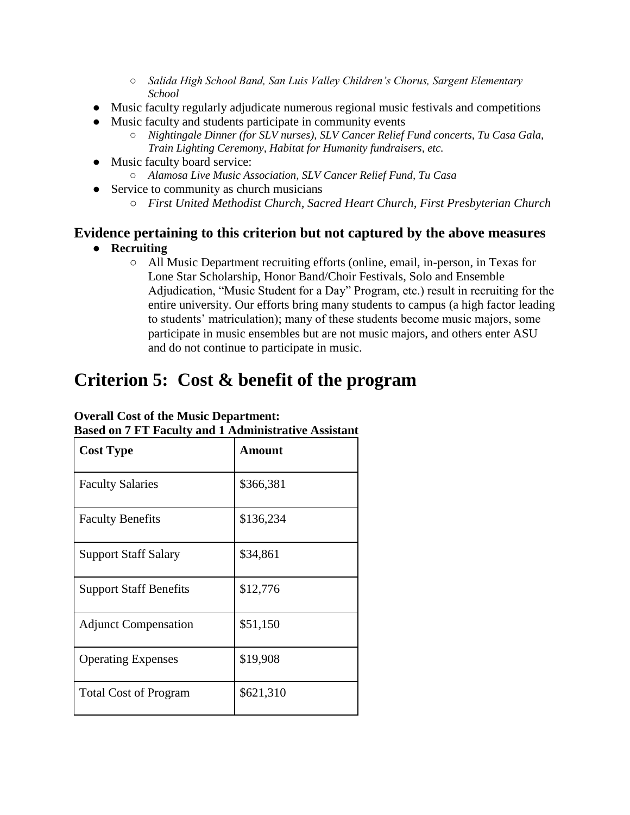- *Salida High School Band, San Luis Valley Children's Chorus, Sargent Elementary School*
- Music faculty regularly adjudicate numerous regional music festivals and competitions
- Music faculty and students participate in community events
	- *Nightingale Dinner (for SLV nurses), SLV Cancer Relief Fund concerts, Tu Casa Gala, Train Lighting Ceremony, Habitat for Humanity fundraisers, etc.*
- Music faculty board service:
	- *Alamosa Live Music Association, SLV Cancer Relief Fund, Tu Casa*
- Service to community as church musicians
	- *First United Methodist Church, Sacred Heart Church, First Presbyterian Church*

# **Evidence pertaining to this criterion but not captured by the above measures**

- **Recruiting** 
	- All Music Department recruiting efforts (online, email, in-person, in Texas for Lone Star Scholarship, Honor Band/Choir Festivals, Solo and Ensemble Adjudication, "Music Student for a Day" Program, etc.) result in recruiting for the entire university. Our efforts bring many students to campus (a high factor leading to students' matriculation); many of these students become music majors, some participate in music ensembles but are not music majors, and others enter ASU and do not continue to participate in music.

# **Criterion 5: Cost & benefit of the program**

| <b>Cost Type</b>              | <b>Amount</b> |
|-------------------------------|---------------|
| <b>Faculty Salaries</b>       | \$366,381     |
| <b>Faculty Benefits</b>       | \$136,234     |
| <b>Support Staff Salary</b>   | \$34,861      |
| <b>Support Staff Benefits</b> | \$12,776      |
| <b>Adjunct Compensation</b>   | \$51,150      |
| <b>Operating Expenses</b>     | \$19,908      |
| <b>Total Cost of Program</b>  | \$621,310     |

**Based on 7 FT Faculty and 1 Administrative Assistant**

#### **Overall Cost of the Music Department:**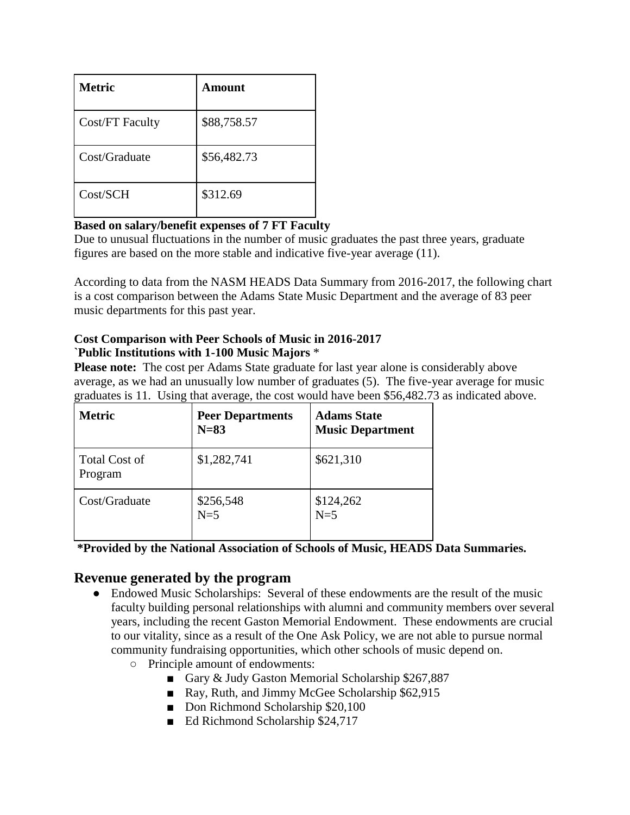| <b>Metric</b>   | Amount      |
|-----------------|-------------|
| Cost/FT Faculty | \$88,758.57 |
| Cost/Graduate   | \$56,482.73 |
| Cost/SCH        | \$312.69    |

#### **Based on salary/benefit expenses of 7 FT Faculty**

Due to unusual fluctuations in the number of music graduates the past three years, graduate figures are based on the more stable and indicative five-year average (11).

According to data from the NASM HEADS Data Summary from 2016-2017, the following chart is a cost comparison between the Adams State Music Department and the average of 83 peer music departments for this past year.

#### **Cost Comparison with Peer Schools of Music in 2016-2017 `Public Institutions with 1-100 Music Majors** \*

**Please note:** The cost per Adams State graduate for last year alone is considerably above average, as we had an unusually low number of graduates (5). The five-year average for music graduates is 11. Using that average, the cost would have been \$56,482.73 as indicated above.

| <b>Metric</b>                   | <b>Peer Departments</b><br>$N=83$ | <b>Adams State</b><br><b>Music Department</b> |
|---------------------------------|-----------------------------------|-----------------------------------------------|
| <b>Total Cost of</b><br>Program | \$1,282,741                       | \$621,310                                     |
| Cost/Graduate                   | \$256,548<br>$N=5$                | \$124,262<br>$N=5$                            |

**\*Provided by the National Association of Schools of Music, HEADS Data Summaries.**

### **Revenue generated by the program**

- Endowed Music Scholarships: Several of these endowments are the result of the music faculty building personal relationships with alumni and community members over several years, including the recent Gaston Memorial Endowment. These endowments are crucial to our vitality, since as a result of the One Ask Policy, we are not able to pursue normal community fundraising opportunities, which other schools of music depend on.
	- Principle amount of endowments:
		- Gary & Judy Gaston Memorial Scholarship \$267,887
		- Ray, Ruth, and Jimmy McGee Scholarship \$62,915
		- Don Richmond Scholarship \$20,100
		- Ed Richmond Scholarship \$24,717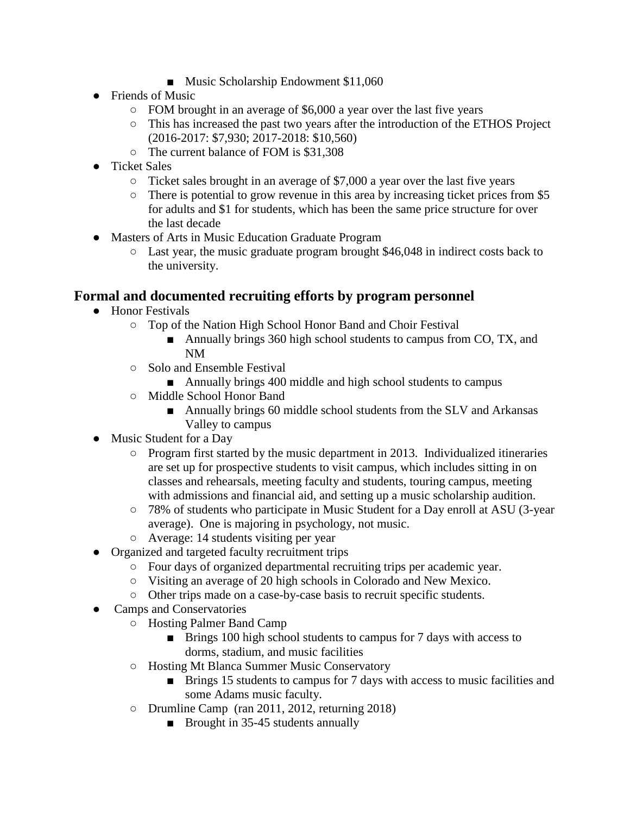- Music Scholarship Endowment \$11,060
- Friends of Music
	- FOM brought in an average of \$6,000 a year over the last five years
	- This has increased the past two years after the introduction of the ETHOS Project (2016-2017: \$7,930; 2017-2018: \$10,560)
	- The current balance of FOM is \$31,308
- Ticket Sales
	- Ticket sales brought in an average of \$7,000 a year over the last five years
	- There is potential to grow revenue in this area by increasing ticket prices from \$5 for adults and \$1 for students, which has been the same price structure for over the last decade
- Masters of Arts in Music Education Graduate Program
	- Last year, the music graduate program brought \$46,048 in indirect costs back to the university.

## **Formal and documented recruiting efforts by program personnel**

- Honor Festivals
	- Top of the Nation High School Honor Band and Choir Festival
		- Annually brings 360 high school students to campus from CO, TX, and NM
	- Solo and Ensemble Festival
		- Annually brings 400 middle and high school students to campus
	- Middle School Honor Band
		- Annually brings 60 middle school students from the SLV and Arkansas Valley to campus
- Music Student for a Day
	- Program first started by the music department in 2013. Individualized itineraries are set up for prospective students to visit campus, which includes sitting in on classes and rehearsals, meeting faculty and students, touring campus, meeting with admissions and financial aid, and setting up a music scholarship audition.
	- 78% of students who participate in Music Student for a Day enroll at ASU (3-year average). One is majoring in psychology, not music.
	- Average: 14 students visiting per year
- Organized and targeted faculty recruitment trips
	- Four days of organized departmental recruiting trips per academic year.
	- Visiting an average of 20 high schools in Colorado and New Mexico.
	- Other trips made on a case-by-case basis to recruit specific students.
- Camps and Conservatories
	- Hosting Palmer Band Camp
		- Brings 100 high school students to campus for 7 days with access to dorms, stadium, and music facilities
	- Hosting Mt Blanca Summer Music Conservatory
		- Brings 15 students to campus for 7 days with access to music facilities and some Adams music faculty.
	- Drumline Camp (ran 2011, 2012, returning 2018)
		- Brought in 35-45 students annually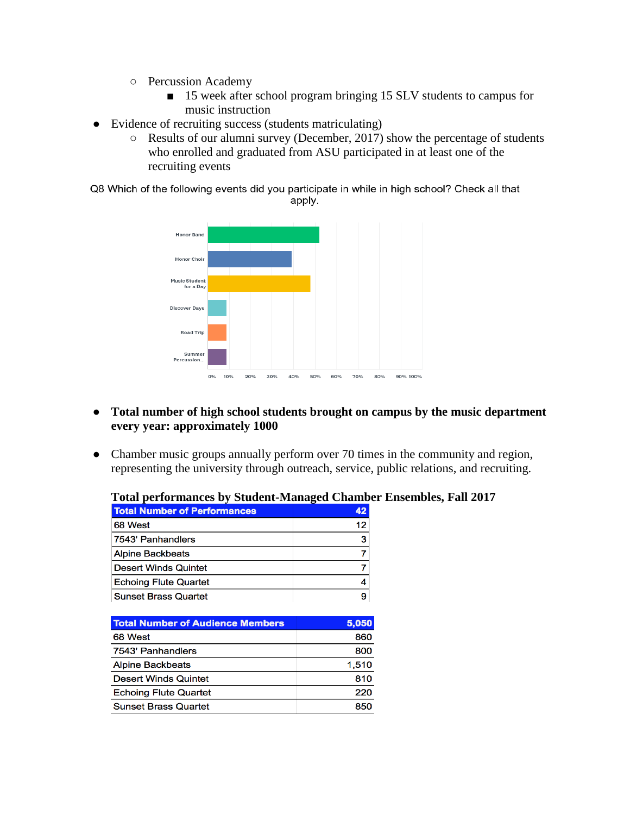- Percussion Academy
	- 15 week after school program bringing 15 SLV students to campus for music instruction
- Evidence of recruiting success (students matriculating)
	- Results of our alumni survey (December, 2017) show the percentage of students who enrolled and graduated from ASU participated in at least one of the recruiting events

Q8 Which of the following events did you participate in while in high school? Check all that apply.



- **Total number of high school students brought on campus by the music department every year: approximately 1000**
- Chamber music groups annually perform over 70 times in the community and region, representing the university through outreach, service, public relations, and recruiting.

| <b>Total Number of Performances</b> | 42 |
|-------------------------------------|----|
| 68 West                             | 12 |
| 7543' Panhandlers                   | 3  |
| <b>Alpine Backbeats</b>             |    |
| <b>Desert Winds Quintet</b>         |    |
| <b>Echoing Flute Quartet</b>        |    |
| <b>Sunset Brass Quartet</b>         |    |

| Total performances by Student-Managed Chamber Ensembles, Fall 2017 |  |  |  |
|--------------------------------------------------------------------|--|--|--|
|                                                                    |  |  |  |

| <b>Total Number of Audience Members</b> | 5.050 |
|-----------------------------------------|-------|
| 68 West                                 | 860   |
| 7543' Panhandlers                       | 800   |
| <b>Alpine Backbeats</b>                 | 1.510 |
| <b>Desert Winds Quintet</b>             | 810   |
| <b>Echoing Flute Quartet</b>            | 220   |
| <b>Sunset Brass Quartet</b>             | 850   |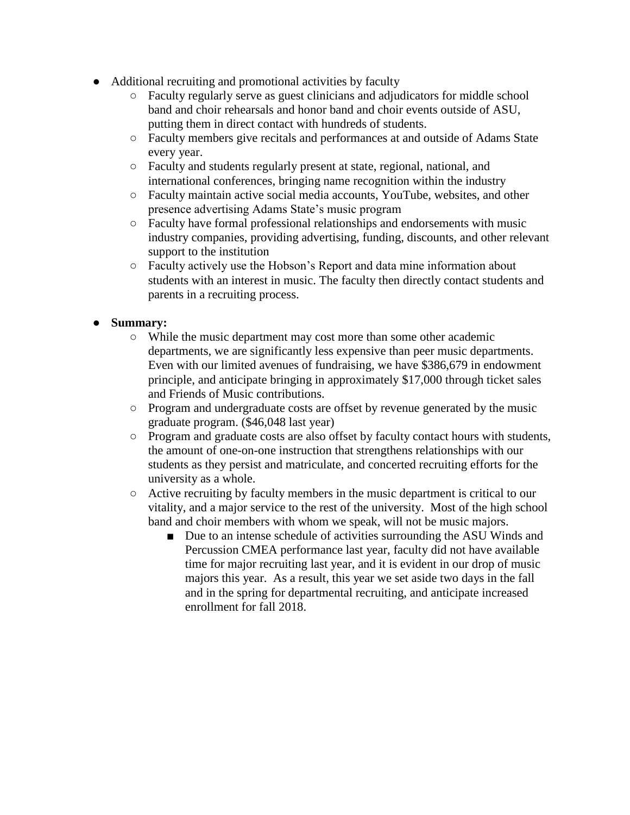- Additional recruiting and promotional activities by faculty
	- Faculty regularly serve as guest clinicians and adjudicators for middle school band and choir rehearsals and honor band and choir events outside of ASU, putting them in direct contact with hundreds of students.
	- Faculty members give recitals and performances at and outside of Adams State every year.
	- Faculty and students regularly present at state, regional, national, and international conferences, bringing name recognition within the industry
	- Faculty maintain active social media accounts, YouTube, websites, and other presence advertising Adams State's music program
	- Faculty have formal professional relationships and endorsements with music industry companies, providing advertising, funding, discounts, and other relevant support to the institution
	- Faculty actively use the Hobson's Report and data mine information about students with an interest in music. The faculty then directly contact students and parents in a recruiting process.

#### ● **Summary:**

- While the music department may cost more than some other academic departments, we are significantly less expensive than peer music departments. Even with our limited avenues of fundraising, we have \$386,679 in endowment principle, and anticipate bringing in approximately \$17,000 through ticket sales and Friends of Music contributions.
- Program and undergraduate costs are offset by revenue generated by the music graduate program. (\$46,048 last year)
- Program and graduate costs are also offset by faculty contact hours with students, the amount of one-on-one instruction that strengthens relationships with our students as they persist and matriculate, and concerted recruiting efforts for the university as a whole.
- Active recruiting by faculty members in the music department is critical to our vitality, and a major service to the rest of the university. Most of the high school band and choir members with whom we speak, will not be music majors.
	- Due to an intense schedule of activities surrounding the ASU Winds and Percussion CMEA performance last year, faculty did not have available time for major recruiting last year, and it is evident in our drop of music majors this year. As a result, this year we set aside two days in the fall and in the spring for departmental recruiting, and anticipate increased enrollment for fall 2018.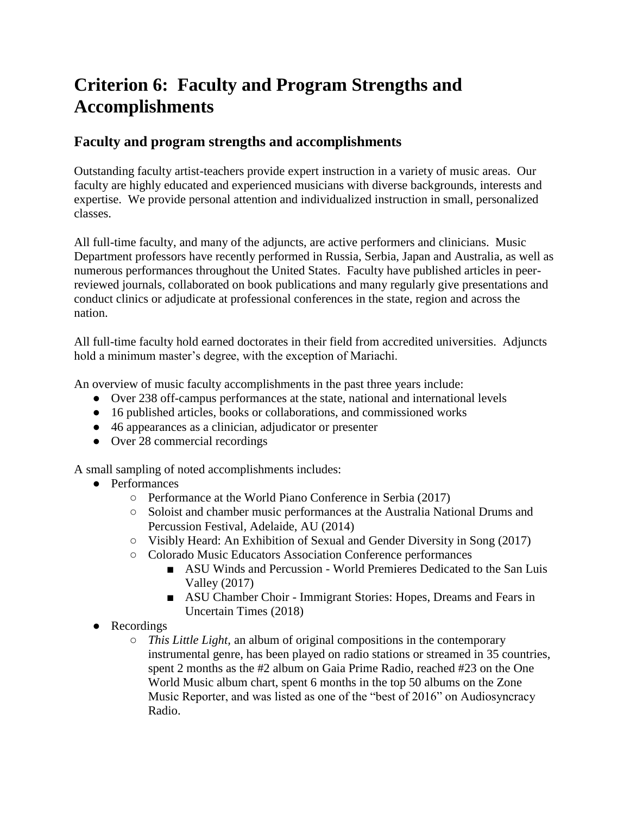# **Criterion 6: Faculty and Program Strengths and Accomplishments**

## **Faculty and program strengths and accomplishments**

Outstanding faculty artist-teachers provide expert instruction in a variety of music areas. Our faculty are highly educated and experienced musicians with diverse backgrounds, interests and expertise. We provide personal attention and individualized instruction in small, personalized classes.

All full-time faculty, and many of the adjuncts, are active performers and clinicians. Music Department professors have recently performed in Russia, Serbia, Japan and Australia, as well as numerous performances throughout the United States. Faculty have published articles in peerreviewed journals, collaborated on book publications and many regularly give presentations and conduct clinics or adjudicate at professional conferences in the state, region and across the nation.

All full-time faculty hold earned doctorates in their field from accredited universities. Adjuncts hold a minimum master's degree, with the exception of Mariachi.

An overview of music faculty accomplishments in the past three years include:

- Over 238 off-campus performances at the state, national and international levels
- 16 published articles, books or collaborations, and commissioned works
- 46 appearances as a clinician, adjudicator or presenter
- Over 28 commercial recordings

A small sampling of noted accomplishments includes:

- Performances
	- Performance at the World Piano Conference in Serbia (2017)
	- Soloist and chamber music performances at the Australia National Drums and Percussion Festival, Adelaide, AU (2014)
	- Visibly Heard: An Exhibition of Sexual and Gender Diversity in Song (2017)
	- Colorado Music Educators Association Conference performances
		- ASU Winds and Percussion World Premieres Dedicated to the San Luis Valley (2017)
		- ASU Chamber Choir Immigrant Stories: Hopes, Dreams and Fears in Uncertain Times (2018)
- Recordings
	- *This Little Light,* an album of original compositions in the contemporary instrumental genre, has been played on radio stations or streamed in 35 countries, spent 2 months as the #2 album on Gaia Prime Radio, reached #23 on the One World Music album chart, spent 6 months in the top 50 albums on the Zone Music Reporter, and was listed as one of the "best of 2016" on Audiosyncracy Radio.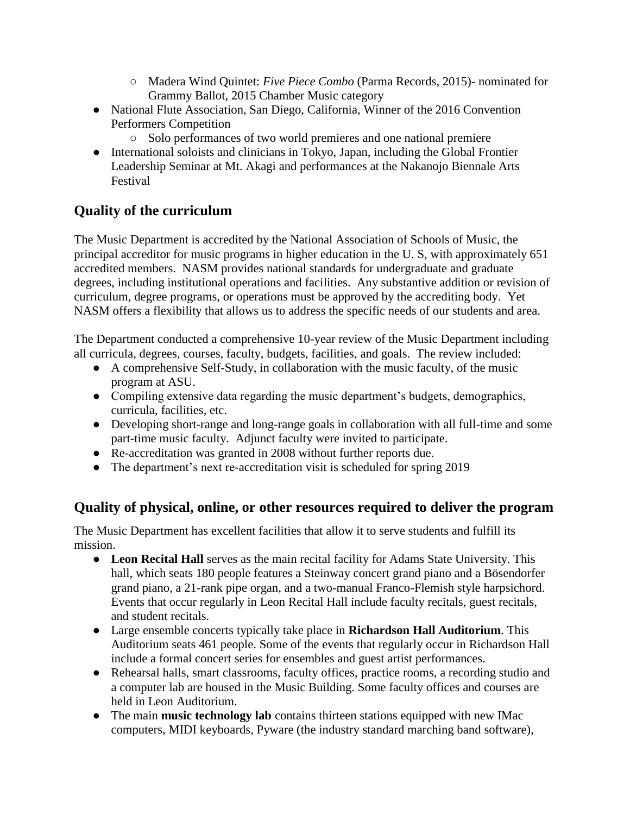- Madera Wind Quintet: *Five Piece Combo* (Parma Records, 2015)- nominated for Grammy Ballot, 2015 Chamber Music category
- National Flute Association, San Diego, California, Winner of the 2016 Convention Performers Competition
	- Solo performances of two world premieres and one national premiere
- International soloists and clinicians in Tokyo, Japan, including the Global Frontier Leadership Seminar at Mt. Akagi and performances at the Nakanojo Biennale Arts Festival

# **Quality of the curriculum**

The Music Department is accredited by the National Association of Schools of Music, the principal accreditor for music programs in higher education in the U. S, with approximately 651 accredited members. NASM provides national standards for undergraduate and graduate degrees, including institutional operations and facilities. Any substantive addition or revision of curriculum, degree programs, or operations must be approved by the accrediting body. Yet NASM offers a flexibility that allows us to address the specific needs of our students and area.

The Department conducted a comprehensive 10-year review of the Music Department including all curricula, degrees, courses, faculty, budgets, facilities, and goals. The review included:

- A comprehensive Self-Study, in collaboration with the music faculty, of the music program at ASU.
- Compiling extensive data regarding the music department's budgets, demographics, curricula, facilities, etc.
- Developing short-range and long-range goals in collaboration with all full-time and some part-time music faculty. Adjunct faculty were invited to participate.
- Re-accreditation was granted in 2008 without further reports due.
- The department's next re-accreditation visit is scheduled for spring 2019

## **Quality of physical, online, or other resources required to deliver the program**

The Music Department has excellent facilities that allow it to serve students and fulfill its mission.

- **Leon Recital Hall** serves as the main recital facility for Adams State University. This hall, which seats 180 people features a Steinway concert grand piano and a Bösendorfer grand piano, a 21-rank pipe organ, and a two-manual Franco-Flemish style harpsichord. Events that occur regularly in Leon Recital Hall include faculty recitals, guest recitals, and student recitals.
- Large ensemble concerts typically take place in **Richardson Hall Auditorium**. This Auditorium seats 461 people. Some of the events that regularly occur in Richardson Hall include a formal concert series for ensembles and guest artist performances.
- Rehearsal halls, smart classrooms, faculty offices, practice rooms, a recording studio and a computer lab are housed in the Music Building. Some faculty offices and courses are held in Leon Auditorium.
- The main **music technology lab** contains thirteen stations equipped with new IMac computers, MIDI keyboards, Pyware (the industry standard marching band software),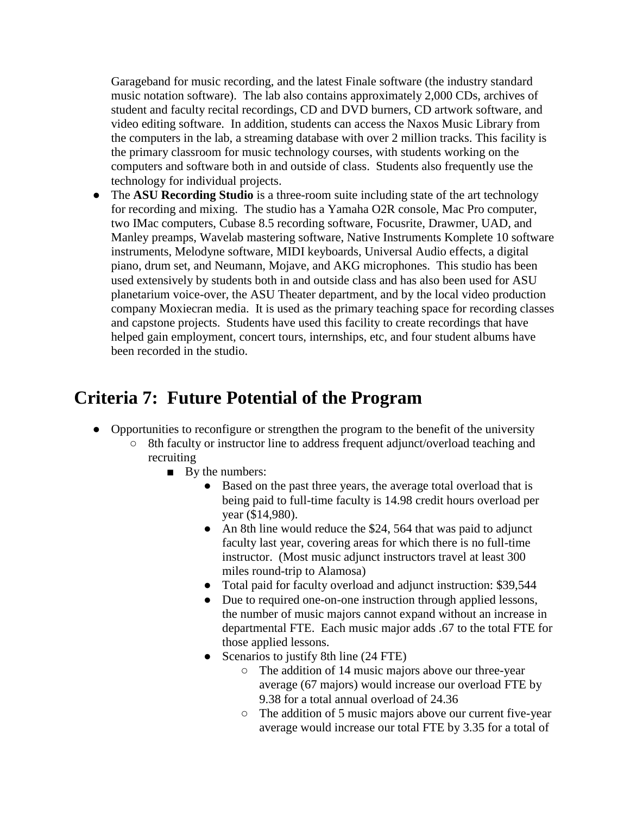Garageband for music recording, and the latest Finale software (the industry standard music notation software). The lab also contains approximately 2,000 CDs, archives of student and faculty recital recordings, CD and DVD burners, CD artwork software, and video editing software. In addition, students can access the Naxos Music Library from the computers in the lab, a streaming database with over 2 million tracks. This facility is the primary classroom for music technology courses, with students working on the computers and software both in and outside of class. Students also frequently use the technology for individual projects.

The **ASU Recording Studio** is a three-room suite including state of the art technology for recording and mixing. The studio has a Yamaha O2R console, Mac Pro computer, two IMac computers, Cubase 8.5 recording software, Focusrite, Drawmer, UAD, and Manley preamps, Wavelab mastering software, Native Instruments Komplete 10 software instruments, Melodyne software, MIDI keyboards, Universal Audio effects, a digital piano, drum set, and Neumann, Mojave, and AKG microphones. This studio has been used extensively by students both in and outside class and has also been used for ASU planetarium voice-over, the ASU Theater department, and by the local video production company Moxiecran media. It is used as the primary teaching space for recording classes and capstone projects. Students have used this facility to create recordings that have helped gain employment, concert tours, internships, etc, and four student albums have been recorded in the studio.

# **Criteria 7: Future Potential of the Program**

- Opportunities to reconfigure or strengthen the program to the benefit of the university
	- 8th faculty or instructor line to address frequent adjunct/overload teaching and recruiting
		- By the numbers:
			- Based on the past three years, the average total overload that is being paid to full-time faculty is 14.98 credit hours overload per year (\$14,980).
			- An 8th line would reduce the \$24, 564 that was paid to adjunct faculty last year, covering areas for which there is no full-time instructor. (Most music adjunct instructors travel at least 300 miles round-trip to Alamosa)
			- Total paid for faculty overload and adjunct instruction: \$39,544
			- Due to required one-on-one instruction through applied lessons, the number of music majors cannot expand without an increase in departmental FTE. Each music major adds .67 to the total FTE for those applied lessons.
			- Scenarios to justify 8th line (24 FTE)
				- The addition of 14 music majors above our three-year average (67 majors) would increase our overload FTE by 9.38 for a total annual overload of 24.36
				- The addition of 5 music majors above our current five-year average would increase our total FTE by 3.35 for a total of